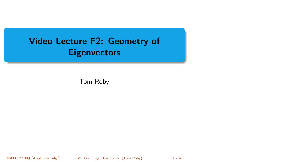## <span id="page-0-0"></span>Video Lecture F2: Geometry of **Eigenvectors**

Tom Roby

MATH 2210Q (Appl. Lin. Alg.) [VL F-2: Eigen Geometry](#page-3-0) (Tom Roby) 1/4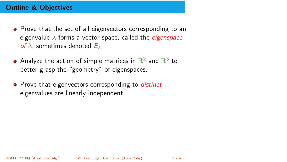## Outline & Objectives

- Prove that the set of all eigenvectors corresponding to an eigenvalue  $\lambda$  forms a vector space, called the *eigenspace* of  $\lambda$ , sometimes denoted  $E_{\lambda}$ .
- Analyze the action of simple matrices in  $\mathbb{R}^2$  and  $\mathbb{R}^3$  to better grasp the "geometry" of eigenspaces.
- **•** Prove that eigenvectors corresponding to *distinct* eigenvalues are linearly independent.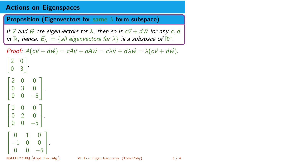## Actions on Eigenspaces

**Proposition (Eigenvectors for same**  $\lambda$  **form subspace)** 

If  $\vec{v}$  and  $\vec{w}$  are eigenvectors for  $\lambda$ , then so is  $c\vec{v} + d\vec{w}$  for any c, d in  $\mathbb{R}$ ; hence,  $E_{\lambda} := \{$  all eigenvectors for  $\lambda\}$  is a subspace of  $\mathbb{R}^n$ .

```
Proof: A(c\vec{v} + d\vec{w}) = cA\vec{v} + dA\vec{w} = c\lambda\vec{v} + d\lambda\vec{w} = \lambda(c\vec{v} + d\vec{w}).\begin{bmatrix} 2 & 0 \end{bmatrix}0 3

.
Т
\mathbb{I}2 0 0
   0 3 0
   0 \t 0 \t -51
                   \vert \cdotГ
\mathbb{I}2 0 0
   0 2 0
   0 \t 0 \t -51
                   \vert \cdotГ
\mathbf{1}0 1 0
   −1 0 0
     0 \t 0 \t -51
                      \vert \cdotMATH 2210Q (Appl. Lin. Alg.) VL F-2: Eigen Geometry (Tom Roby) 3 / 4
```